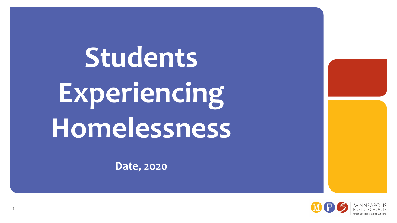**Students Experiencing Homelessness**

**Date, 2020**

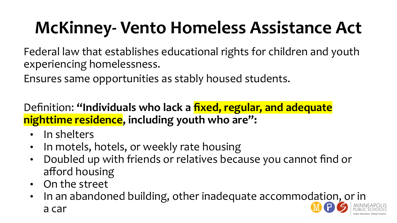# **McKinney- Vento Homeless Assistance Act**

Federal law that establishes educational rights for children and youth experiencing homelessness.

Ensures same opportunities as stably housed students.

Definition: **"Individuals who lack a fixed, regular, and adequate nighttime residence, including youth who are":**

- In shelters
- In motels, hotels, or weekly rate housing
- Doubled up with friends or relatives because you cannot find or afford housing
- On the street
- In an abandoned building, other inadequate accommodation, or in a car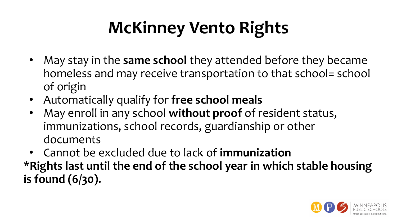# **McKinney Vento Rights**

- May stay in the **same school** they attended before they became homeless and may receive transportation to that school= school of origin
- Automatically qualify for **free school meals**
- May enroll in any school **without proof** of resident status, immunizations, school records, guardianship or other documents
- Cannot be excluded due to lack of **immunization \*Rights last until the end of the school year in which stable housing is found (6/30).**

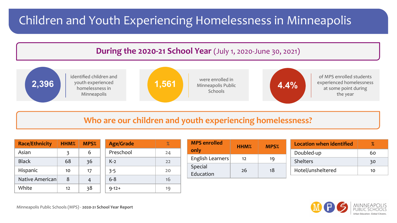### Children and Youth Experiencing Homelessness in Minneapolis



#### **Who are our children and youth experiencing homelessness?**

| <b>Race/Ethnicity</b> | HHM <sub>%</sub> | MPS% | <b>Age/Grade</b> | %  |
|-----------------------|------------------|------|------------------|----|
| Asian                 | 3                | 6    | Preschool        | 24 |
| <b>Black</b>          | 68               | 36   | $K-2$            | 22 |
| Hispanic              | 10               | 17   | $3 - 5$          | 20 |
| Native American       | 8                |      | $6 - 8$          | 16 |
| White                 | 12               | 38   | $9 - 12 +$       | 19 |

| <b>MPS</b> enrolled | HHM% | <b>MPS</b> %      | Location when identified | $\%$ |
|---------------------|------|-------------------|--------------------------|------|
| only                |      |                   | Doubled-up               | 60   |
| English Learners    | 12   | 19                | <b>Shelters</b>          | 30   |
| Special             |      |                   |                          |      |
| 26<br>Education     | 18   | Hotel/unsheltered | 10                       |      |



Minneapolis Public Schools (MPS) - **2020-21 School Year Report**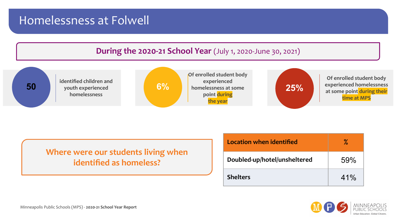#### Homelessness at Folwell





**Where were our students living when identified as homeless?**

| Location when identified     | ℅   |
|------------------------------|-----|
| Doubled-up/hotel/unsheltered | 59% |
| <b>Shelters</b>              | 41% |

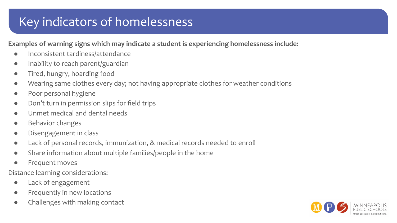## Key indicators of homelessness

#### **Examples of warning signs which may indicate a student is experiencing homelessness include:**

- Inconsistent tardiness/attendance
- Inability to reach parent/guardian
- Tired, hungry, hoarding food
- Wearing same clothes every day; not having appropriate clothes for weather conditions
- Poor personal hygiene
- Don't turn in permission slips for field trips
- Unmet medical and dental needs
- **Behavior changes**
- Disengagement in class
- Lack of personal records, immunization, & medical records needed to enroll
- Share information about multiple families/people in the home
- Frequent moves
- Distance learning considerations:
	- Lack of engagement
	- Frequently in new locations
	- Challenges with making contact

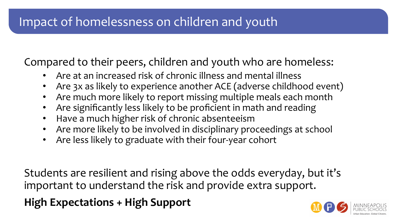### Impact of homelessness on children and youth

Compared to their peers, children and youth who are homeless:

- Are at an increased risk of chronic illness and mental illness
- Are 3x as likely to experience another ACE (adverse childhood event)
- Are much more likely to report missing multiple meals each month
- Are significantly less likely to be proficient in math and reading
- Have a much higher risk of chronic absenteeism
- Are more likely to be involved in disciplinary proceedings at school
- Are less likely to graduate with their four-year cohort

Students are resilient and rising above the odds everyday, but it's important to understand the risk and provide extra support.

**High Expectations + High Support** 

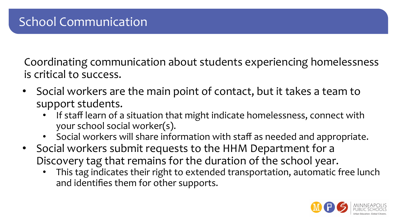Coordinating communication about students experiencing homelessness is critical to success.

- Social workers are the main point of contact, but it takes a team to support students.
	- If staff learn of a situation that might indicate homelessness, connect with your school social worker(s).
	- Social workers will share information with staff as needed and appropriate.
- Social workers submit requests to the HHM Department for a Discovery tag that remains for the duration of the school year.
	- This tag indicates their right to extended transportation, automatic free lunch and identifies them for other supports.

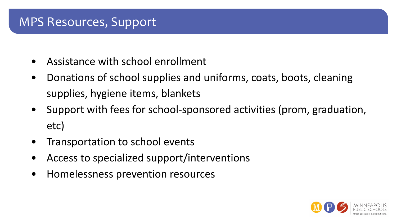#### MPS Resources, Support

- Assistance with school enrollment
- Donations of school supplies and uniforms, coats, boots, cleaning supplies, hygiene items, blankets
- Support with fees for school-sponsored activities (prom, graduation, etc)
- Transportation to school events
- Access to specialized support/interventions
- Homelessness prevention resources

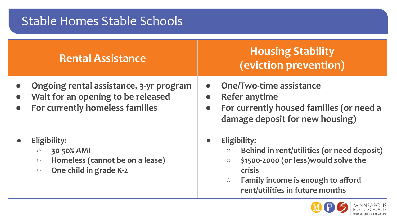### Stable Homes Stable Schools

| <b>Rental Assistance</b> |
|--------------------------|
|                          |

- **● Ongoing rental assistance, 3-yr program**
- **● Wait for an opening to be released**
- **● For currently homeless families**
- **● Eligibility:**
	- **○ 30-50% AMI**
	- **○ Homeless (cannot be on a lease)**
	- **○ One child in grade K-2**

#### **Housing Stability (eviction prevention)**

- **● One/Two-time assistance**
- **● Refer anytime**
- **● For currently housed families (or need a damage deposit for new housing)**
- **● Eligibility:**
	- **○ Behind in rent/utilities (or need deposit)**
	- **○ \$1500-2000 (or less)would solve the crisis**
	- **○ Family income is enough to afford rent/utilities in future months**

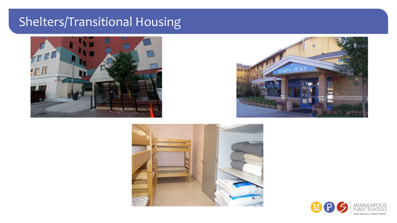# Shelters/Transitional Housing







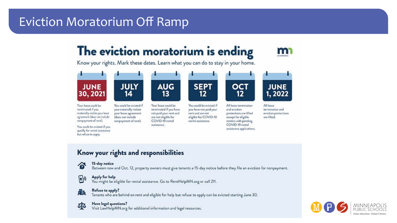### Eviction Moratorium Off Ramp

### The eviction moratorium is ending



Know your rights. Mark these dates. Learn what you can do to stay in your home.



#### Know your rights and responsibilities



国

#### 15-day notice

qualify for rental assistance but refuse to apply.

Between now and Oct. 12, property owners must give tenants a 15-day notice before they file an eviction for nonpayment.

assistance applications.

#### Apply for help

Refuse to apply?

You might be eligible for rental assistance. Go to RentHelpMN.org or call 211.

#### Ah

Tenants who are behind on rent and eligible for help but refuse to apply can be evicted starting June 30.



#### Have legal questions?

Visit LawHelpMN.org for additional information and legal resources.

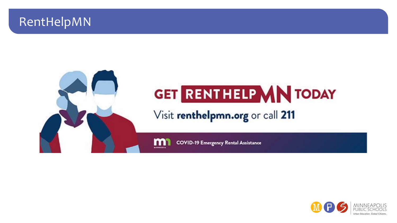#### RentHelpMN



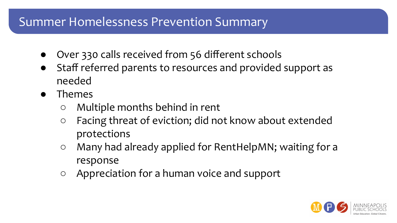#### Summer Homelessness Prevention Summary

- Over 330 calls received from 56 different schools
- Staff referred parents to resources and provided support as needed
- Themes
	- Multiple months behind in rent
	- Facing threat of eviction; did not know about extended protections
	- Many had already applied for RentHelpMN; waiting for a response
	- Appreciation for a human voice and support

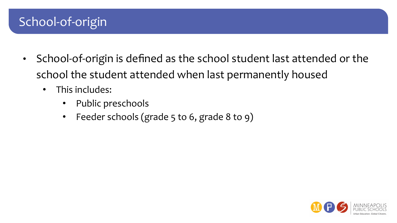### School-of-origin

- School-of-origin is defined as the school student last attended or the school the student attended when last permanently housed
	- This includes:
		- Public preschools
		- Feeder schools (grade 5 to 6, grade 8 to 9)

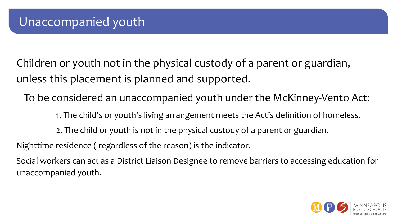Children or youth not in the physical custody of a parent or guardian, unless this placement is planned and supported.

To be considered an unaccompanied youth under the McKinney-Vento Act:

1. The child's or youth's living arrangement meets the Act's definition of homeless.

2. The child or youth is not in the physical custody of a parent or guardian.

Nighttime residence ( regardless of the reason) is the indicator.

Social workers can act as a District Liaison Designee to remove barriers to accessing education for unaccompanied youth.

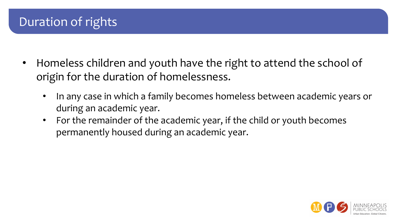### Duration of rights

- Homeless children and youth have the right to attend the school of origin for the duration of homelessness.
	- In any case in which a family becomes homeless between academic years or during an academic year.
	- For the remainder of the academic year, if the child or youth becomes permanently housed during an academic year.

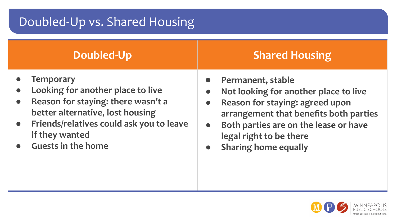# Doubled-Up vs. Shared Housing

| <b>Doubled-Up</b>                                                                                                                                                                                                                                    | <b>Shared Housing</b>                                                                                                                                                                                                                                                                          |
|------------------------------------------------------------------------------------------------------------------------------------------------------------------------------------------------------------------------------------------------------|------------------------------------------------------------------------------------------------------------------------------------------------------------------------------------------------------------------------------------------------------------------------------------------------|
| <b>Temporary</b><br>Looking for another place to live<br>Reason for staying: there wasn't a<br>$\bullet$<br>better alternative, lost housing<br>Friends/relatives could ask you to leave<br>$\bullet$<br>if they wanted<br><b>Guests in the home</b> | Permanent, stable<br>Not looking for another place to live<br>$\bullet$<br>Reason for staying: agreed upon<br>$\bullet$<br>arrangement that benefits both parties<br>Both parties are on the lease or have<br>$\bullet$<br>legal right to be there<br><b>Sharing home equally</b><br>$\bullet$ |